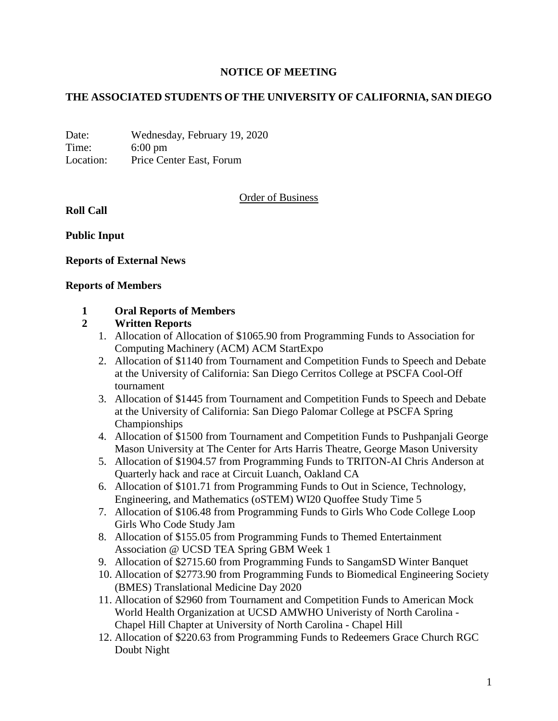## **NOTICE OF MEETING**

## **THE ASSOCIATED STUDENTS OF THE UNIVERSITY OF CALIFORNIA, SAN DIEGO**

Date: Wednesday, February 19, 2020 Time: 6:00 pm Location: Price Center East, Forum

#### Order of Business

**Roll Call**

**Public Input**

#### **Reports of External News**

#### **Reports of Members**

#### **1 Oral Reports of Members**

#### **2 Written Reports**

- 1. Allocation of Allocation of \$1065.90 from Programming Funds to Association for Computing Machinery (ACM) ACM StartExpo
- 2. Allocation of \$1140 from Tournament and Competition Funds to Speech and Debate at the University of California: San Diego Cerritos College at PSCFA Cool-Off tournament
- 3. Allocation of \$1445 from Tournament and Competition Funds to Speech and Debate at the University of California: San Diego Palomar College at PSCFA Spring Championships
- 4. Allocation of \$1500 from Tournament and Competition Funds to Pushpanjali George Mason University at The Center for Arts Harris Theatre, George Mason University
- 5. Allocation of \$1904.57 from Programming Funds to TRITON-AI Chris Anderson at Quarterly hack and race at Circuit Luanch, Oakland CA
- 6. Allocation of \$101.71 from Programming Funds to Out in Science, Technology, Engineering, and Mathematics (oSTEM) WI20 Quoffee Study Time 5
- 7. Allocation of \$106.48 from Programming Funds to Girls Who Code College Loop Girls Who Code Study Jam
- 8. Allocation of \$155.05 from Programming Funds to Themed Entertainment Association @ UCSD TEA Spring GBM Week 1
- 9. Allocation of \$2715.60 from Programming Funds to SangamSD Winter Banquet
- 10. Allocation of \$2773.90 from Programming Funds to Biomedical Engineering Society (BMES) Translational Medicine Day 2020
- 11. Allocation of \$2960 from Tournament and Competition Funds to American Mock World Health Organization at UCSD AMWHO Univeristy of North Carolina - Chapel Hill Chapter at University of North Carolina - Chapel Hill
- 12. Allocation of \$220.63 from Programming Funds to Redeemers Grace Church RGC Doubt Night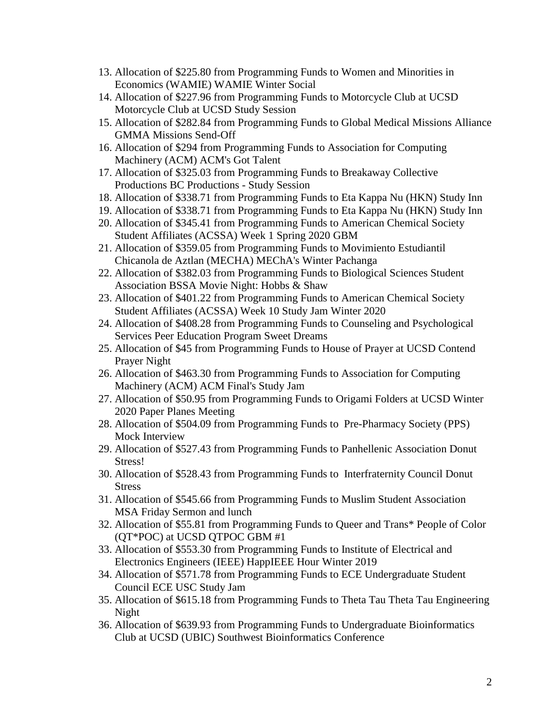- 13. Allocation of \$225.80 from Programming Funds to Women and Minorities in Economics (WAMIE) WAMIE Winter Social
- 14. Allocation of \$227.96 from Programming Funds to Motorcycle Club at UCSD Motorcycle Club at UCSD Study Session
- 15. Allocation of \$282.84 from Programming Funds to Global Medical Missions Alliance GMMA Missions Send-Off
- 16. Allocation of \$294 from Programming Funds to Association for Computing Machinery (ACM) ACM's Got Talent
- 17. Allocation of \$325.03 from Programming Funds to Breakaway Collective Productions BC Productions - Study Session
- 18. Allocation of \$338.71 from Programming Funds to Eta Kappa Nu (HKN) Study Inn
- 19. Allocation of \$338.71 from Programming Funds to Eta Kappa Nu (HKN) Study Inn
- 20. Allocation of \$345.41 from Programming Funds to American Chemical Society Student Affiliates (ACSSA) Week 1 Spring 2020 GBM
- 21. Allocation of \$359.05 from Programming Funds to Movimiento Estudiantil Chicanola de Aztlan (MECHA) MEChA's Winter Pachanga
- 22. Allocation of \$382.03 from Programming Funds to Biological Sciences Student Association BSSA Movie Night: Hobbs & Shaw
- 23. Allocation of \$401.22 from Programming Funds to American Chemical Society Student Affiliates (ACSSA) Week 10 Study Jam Winter 2020
- 24. Allocation of \$408.28 from Programming Funds to Counseling and Psychological Services Peer Education Program Sweet Dreams
- 25. Allocation of \$45 from Programming Funds to House of Prayer at UCSD Contend Prayer Night
- 26. Allocation of \$463.30 from Programming Funds to Association for Computing Machinery (ACM) ACM Final's Study Jam
- 27. Allocation of \$50.95 from Programming Funds to Origami Folders at UCSD Winter 2020 Paper Planes Meeting
- 28. Allocation of \$504.09 from Programming Funds to Pre-Pharmacy Society (PPS) Mock Interview
- 29. Allocation of \$527.43 from Programming Funds to Panhellenic Association Donut Stress!
- 30. Allocation of \$528.43 from Programming Funds to Interfraternity Council Donut Stress
- 31. Allocation of \$545.66 from Programming Funds to Muslim Student Association MSA Friday Sermon and lunch
- 32. Allocation of \$55.81 from Programming Funds to Queer and Trans\* People of Color (QT\*POC) at UCSD QTPOC GBM #1
- 33. Allocation of \$553.30 from Programming Funds to Institute of Electrical and Electronics Engineers (IEEE) HappIEEE Hour Winter 2019
- 34. Allocation of \$571.78 from Programming Funds to ECE Undergraduate Student Council ECE USC Study Jam
- 35. Allocation of \$615.18 from Programming Funds to Theta Tau Theta Tau Engineering Night
- 36. Allocation of \$639.93 from Programming Funds to Undergraduate Bioinformatics Club at UCSD (UBIC) Southwest Bioinformatics Conference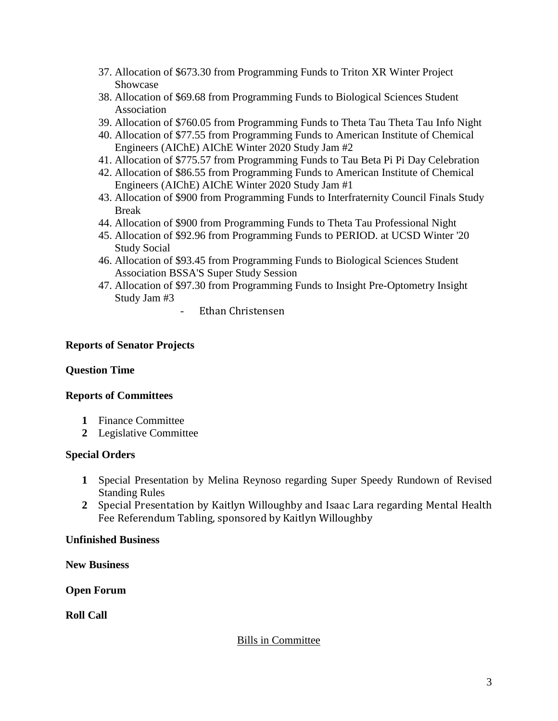- 37. Allocation of \$673.30 from Programming Funds to Triton XR Winter Project Showcase
- 38. Allocation of \$69.68 from Programming Funds to Biological Sciences Student Association
- 39. Allocation of \$760.05 from Programming Funds to Theta Tau Theta Tau Info Night
- 40. Allocation of \$77.55 from Programming Funds to American Institute of Chemical Engineers (AIChE) AIChE Winter 2020 Study Jam #2
- 41. Allocation of \$775.57 from Programming Funds to Tau Beta Pi Pi Day Celebration
- 42. Allocation of \$86.55 from Programming Funds to American Institute of Chemical Engineers (AIChE) AIChE Winter 2020 Study Jam #1
- 43. Allocation of \$900 from Programming Funds to Interfraternity Council Finals Study Break
- 44. Allocation of \$900 from Programming Funds to Theta Tau Professional Night
- 45. Allocation of \$92.96 from Programming Funds to PERIOD. at UCSD Winter '20 Study Social
- 46. Allocation of \$93.45 from Programming Funds to Biological Sciences Student Association BSSA'S Super Study Session
- 47. Allocation of \$97.30 from Programming Funds to Insight Pre-Optometry Insight Study Jam #3
	- Ethan Christensen

### **Reports of Senator Projects**

#### **Question Time**

#### **Reports of Committees**

- **1** Finance Committee
- **2** Legislative Committee

### **Special Orders**

- **1** Special Presentation by Melina Reynoso regarding Super Speedy Rundown of Revised Standing Rules
- **2** Special Presentation by Kaitlyn Willoughby and Isaac Lara regarding Mental Health Fee Referendum Tabling, sponsored by Kaitlyn Willoughby

#### **Unfinished Business**

**New Business**

**Open Forum**

**Roll Call**

# Bills in Committee